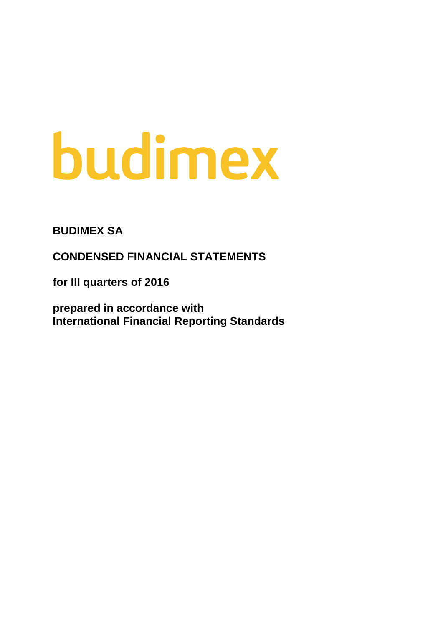# budimex

**BUDIMEX SA**

**CONDENSED FINANCIAL STATEMENTS**

**for III quarters of 2016**

**prepared in accordance with International Financial Reporting Standards**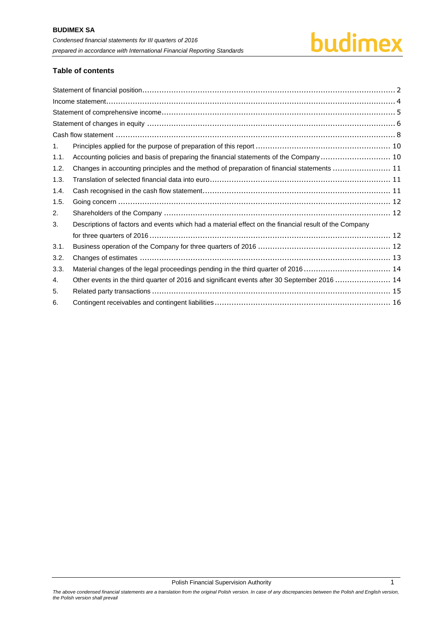# budimex

# **Table of contents**

| 1.   |                                                                                                       |
|------|-------------------------------------------------------------------------------------------------------|
| 1.1. | Accounting policies and basis of preparing the financial statements of the Company 10                 |
| 1.2. | Changes in accounting principles and the method of preparation of financial statements  11            |
| 1.3. |                                                                                                       |
| 1.4. |                                                                                                       |
| 1.5. |                                                                                                       |
| 2.   |                                                                                                       |
| 3.   | Descriptions of factors and events which had a material effect on the financial result of the Company |
|      |                                                                                                       |
| 3.1. |                                                                                                       |
| 3.2. |                                                                                                       |
| 3.3. | Material changes of the legal proceedings pending in the third quarter of 2016  14                    |
| 4.   | Other events in the third quarter of 2016 and significant events after 30 September 2016  14          |
| 5.   |                                                                                                       |
| 6.   |                                                                                                       |

Polish Financial Supervision Authority 11 and 12 and 13 and 13 and 13 and 13 and 13 and 13 and 13 and 13 and 1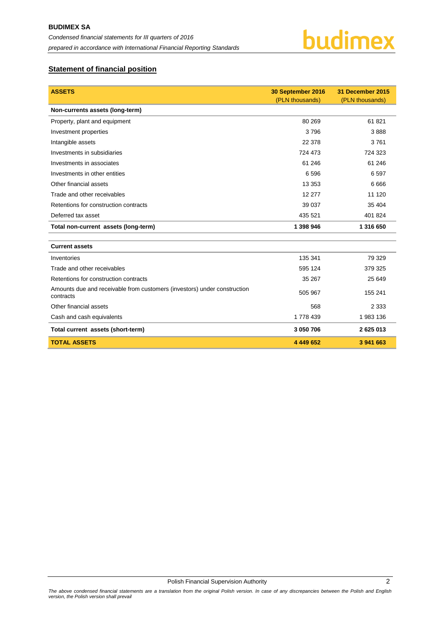

# <span id="page-2-0"></span>**Statement of financial position**

| <b>ASSETS</b>                                                                         | 30 September 2016 | 31 December 2015 |
|---------------------------------------------------------------------------------------|-------------------|------------------|
|                                                                                       | (PLN thousands)   | (PLN thousands)  |
| Non-currents assets (long-term)                                                       |                   |                  |
| Property, plant and equipment                                                         | 80 269            | 61821            |
| Investment properties                                                                 | 3796              | 3888             |
| Intangible assets                                                                     | 22 378            | 3761             |
| Investments in subsidiaries                                                           | 724 473           | 724 323          |
| Investments in associates                                                             | 61 246            | 61 24 6          |
| Investments in other entities                                                         | 6596              | 6597             |
| Other financial assets                                                                | 13 3 5 3          | 6666             |
| Trade and other receivables                                                           | 12 277            | 11 120           |
| Retentions for construction contracts                                                 | 39 037            | 35 404           |
| Deferred tax asset                                                                    | 435 521           | 401 824          |
| Total non-current assets (long-term)                                                  | 1 398 946         | 1 316 650        |
|                                                                                       |                   |                  |
| <b>Current assets</b>                                                                 |                   |                  |
| Inventories                                                                           | 135 341           | 79 329           |
| Trade and other receivables                                                           | 595 124           | 379 325          |
| Retentions for construction contracts                                                 | 35 267            | 25 649           |
| Amounts due and receivable from customers (investors) under construction<br>contracts | 505 967           | 155 241          |
| Other financial assets                                                                | 568               | 2 3 3 3          |
| Cash and cash equivalents                                                             | 1 778 439         | 1983 136         |
| Total current assets (short-term)                                                     | 3 050 706         | 2 625 013        |
| <b>TOTAL ASSETS</b>                                                                   | 4 449 652         | 3 941 663        |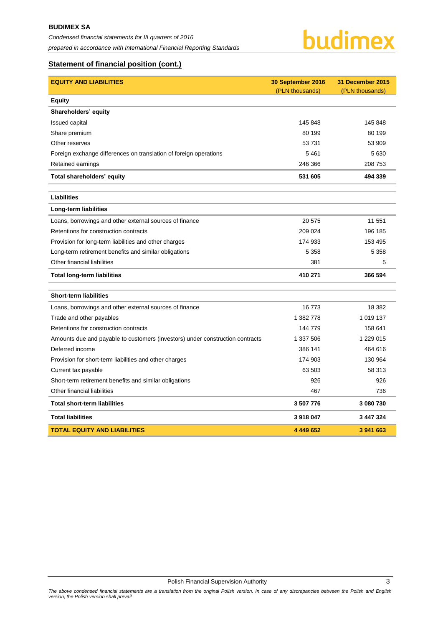# **Statement of financial position (cont.)**

| <b>EQUITY AND LIABILITIES</b>                                                 | 30 September 2016 | 31 December 2015 |
|-------------------------------------------------------------------------------|-------------------|------------------|
|                                                                               | (PLN thousands)   | (PLN thousands)  |
| <b>Equity</b>                                                                 |                   |                  |
| Shareholders' equity                                                          |                   |                  |
| <b>Issued capital</b>                                                         | 145 848           | 145 848          |
| Share premium                                                                 | 80 199            | 80 199           |
| Other reserves                                                                | 53 731            | 53 909           |
| Foreign exchange differences on translation of foreign operations             | 5 4 6 1           | 5 6 3 0          |
| Retained earnings                                                             | 246 366           | 208 753          |
| Total shareholders' equity                                                    | 531 605           | 494 339          |
| Liabilities                                                                   |                   |                  |
| <b>Long-term liabilities</b>                                                  |                   |                  |
| Loans, borrowings and other external sources of finance                       | 20 575            | 11 551           |
| Retentions for construction contracts                                         | 209 024           | 196 185          |
| Provision for long-term liabilities and other charges                         | 174 933           | 153 495          |
| Long-term retirement benefits and similar obligations                         | 5 3 5 8           | 5 3 5 8          |
| Other financial liabilities                                                   | 381               | 5                |
| <b>Total long-term liabilities</b>                                            | 410 271           | 366 594          |
| <b>Short-term liabilities</b>                                                 |                   |                  |
| Loans, borrowings and other external sources of finance                       | 16 773            | 18 3 8 2         |
| Trade and other payables                                                      | 1 382 778         | 1 019 137        |
| Retentions for construction contracts                                         | 144 779           | 158 641          |
| Amounts due and payable to customers (investors) under construction contracts | 1 337 506         | 1 229 015        |
| Deferred income                                                               | 386 141           | 464 616          |
| Provision for short-term liabilities and other charges                        | 174 903           | 130 964          |
| Current tax payable                                                           | 63 503            | 58 313           |
| Short-term retirement benefits and similar obligations                        | 926               | 926              |
| Other financial liabilities                                                   | 467               | 736              |
| <b>Total short-term liabilities</b>                                           | 3 507 776         | 3 080 730        |
| <b>Total liabilities</b>                                                      | 3918047           | 3 447 324        |
| <b>TOTAL EQUITY AND LIABILITIES</b>                                           | 4 449 652         | 3 941 663        |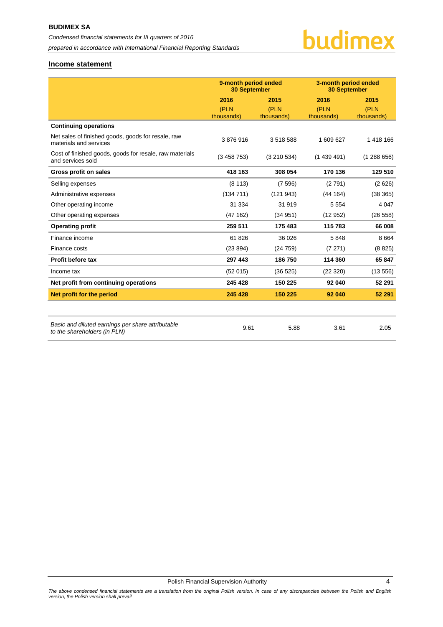# budimex

# <span id="page-4-0"></span>**Income statement**

|                                                                                   | 9-month period ended<br><b>30 September</b> |                    | 3-month period ended<br><b>30 September</b> |                    |
|-----------------------------------------------------------------------------------|---------------------------------------------|--------------------|---------------------------------------------|--------------------|
|                                                                                   | 2016                                        | 2015               | 2016                                        | 2015               |
|                                                                                   | (PLN<br>thousands)                          | (PLN<br>thousands) | (PLN<br>thousands)                          | (PLN<br>thousands) |
| <b>Continuing operations</b>                                                      |                                             |                    |                                             |                    |
| Net sales of finished goods, goods for resale, raw<br>materials and services      | 3876916                                     | 3518588            | 1 609 627                                   | 1 418 166          |
| Cost of finished goods, goods for resale, raw materials<br>and services sold      | (3458753)                                   | (3210534)          | (1439491)                                   | (1288656)          |
| <b>Gross profit on sales</b>                                                      | 418 163                                     | 308 054            | 170 136                                     | 129 510            |
| Selling expenses                                                                  | (8113)                                      | (7596)             | (2791)                                      | (2626)             |
| Administrative expenses                                                           | (134711)                                    | (121943)           | (44 164)                                    | (38365)            |
| Other operating income                                                            | 31 334                                      | 31919              | 5 5 5 4                                     | 4 0 4 7            |
| Other operating expenses                                                          | (47162)                                     | (34951)            | (12952)                                     | (26 558)           |
| <b>Operating profit</b>                                                           | 259 511                                     | 175 483            | 115 783                                     | 66 008             |
| Finance income                                                                    | 61 826                                      | 36 0 26            | 5848                                        | 8 6 6 4            |
| Finance costs                                                                     | (23894)                                     | (24759)            | (7271)                                      | (8825)             |
| Profit before tax                                                                 | 297 443                                     | 186750             | 114 360                                     | 65 847             |
| Income tax                                                                        | (52 015)                                    | (36 525)           | (22320)                                     | (13556)            |
| Net profit from continuing operations                                             | 245 428                                     | 150 225            | 92 040                                      | 52 291             |
| Net profit for the period                                                         | 245 428                                     | 150 225            | 92 040                                      | 52 291             |
|                                                                                   |                                             |                    |                                             |                    |
| Basic and diluted earnings per share attributable<br>to the shareholders (in PLN) | 9.61                                        | 5.88               | 3.61                                        | 2.05               |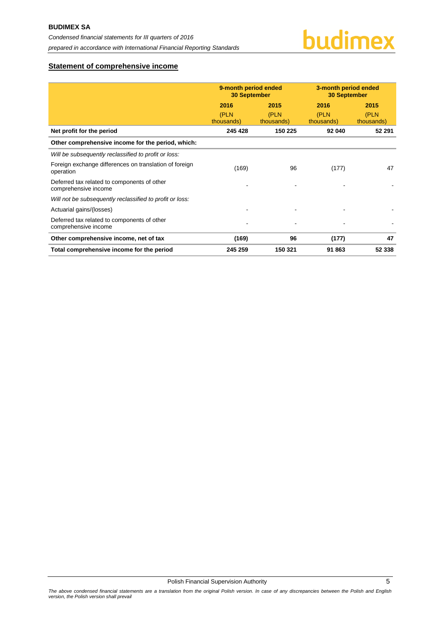# <span id="page-5-0"></span>**Statement of comprehensive income**

|                                                                     | 9-month period ended<br><b>30 September</b> |                            | 3-month period ended<br><b>30 September</b> |                            |
|---------------------------------------------------------------------|---------------------------------------------|----------------------------|---------------------------------------------|----------------------------|
|                                                                     | 2016<br>(PLN<br>thousands)                  | 2015<br>(PLN<br>thousands) | 2016<br>(PLN<br>thousands)                  | 2015<br>(PLN<br>thousands) |
| Net profit for the period                                           | 245 428                                     | 150 225                    | 92 040                                      | 52 291                     |
| Other comprehensive income for the period, which:                   |                                             |                            |                                             |                            |
| Will be subsequently reclassified to profit or loss:                |                                             |                            |                                             |                            |
| Foreign exchange differences on translation of foreign<br>operation | (169)                                       | 96                         | (177)                                       | 47                         |
| Deferred tax related to components of other<br>comprehensive income |                                             |                            |                                             |                            |
| Will not be subsequently reclassified to profit or loss:            |                                             |                            |                                             |                            |
| Actuarial gains/(losses)                                            |                                             |                            |                                             |                            |
| Deferred tax related to components of other<br>comprehensive income |                                             |                            |                                             |                            |
| Other comprehensive income, net of tax                              | (169)                                       | 96                         | (177)                                       | 47                         |
| Total comprehensive income for the period                           | 245 259                                     | 150 321                    | 91 863                                      | 52 338                     |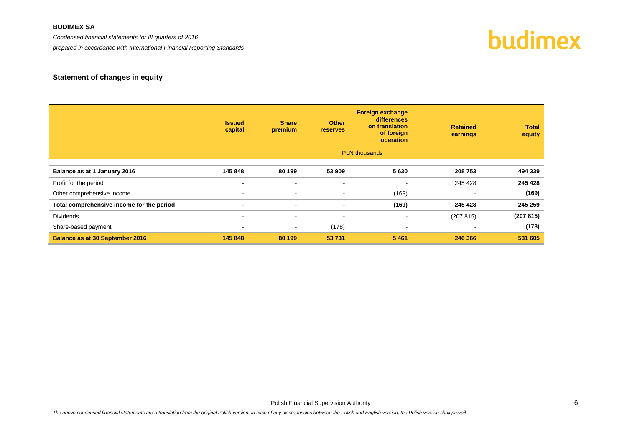# **BUDIMEX SA**

*Condensed financial statements for III quarters of 2016*

*prepared in accordance with International Financial Reporting Standards*



# **Statement of changes in equity**

<span id="page-6-0"></span>

|                                           | <b>Issued</b><br>capital | <b>Share</b><br>premium  | <b>Other</b><br><b>reserves</b> | <b>Foreign exchange</b><br>differences<br>on translation<br>of foreign<br>operation | <b>Retained</b><br>earnings | <b>Total</b><br>equity |
|-------------------------------------------|--------------------------|--------------------------|---------------------------------|-------------------------------------------------------------------------------------|-----------------------------|------------------------|
|                                           |                          |                          |                                 | <b>PLN</b> thousands                                                                |                             |                        |
| Balance as at 1 January 2016              | 145 848                  | 80 199                   | 53 909                          | 5630                                                                                | 208 753                     | 494 339                |
| Profit for the period                     | $\sim$                   | $\blacksquare$           | $\blacksquare$                  | $\overline{\phantom{a}}$                                                            | 245 428                     | 245 428                |
| Other comprehensive income                | $\sim$                   | $\sim$                   | $\sim$                          | (169)                                                                               | $\sim$                      | (169)                  |
| Total comprehensive income for the period | $\blacksquare$           | $\blacksquare$           | $\blacksquare$                  | (169)                                                                               | 245 428                     | 245 259                |
| <b>Dividends</b>                          | $\sim$                   | $\sim$                   | $\overline{\phantom{a}}$        | $\blacksquare$                                                                      | (207 815)                   | (207815)               |
| Share-based payment                       | $\sim$                   | $\overline{\phantom{a}}$ | (178)                           | ٠                                                                                   | $\overline{\phantom{a}}$    | (178)                  |
| <b>Balance as at 30 September 2016</b>    | 145 848                  | 80 199                   | 53 731                          | 5 4 6 1                                                                             | 246 366                     | 531 605                |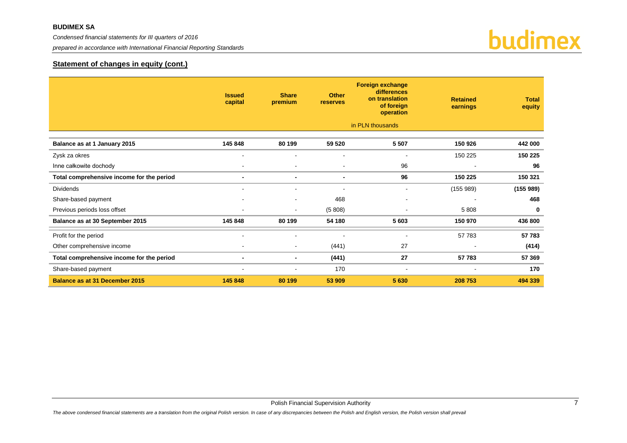*prepared in accordance with International Financial Reporting Standards*



# **Statement of changes in equity (cont.)**

|                                           | <b>Issued</b><br>capital | <b>Share</b><br>premium  | <b>Other</b><br><b>reserves</b> | <b>Foreign exchange</b><br>differences<br>on translation<br>of foreign<br>operation | <b>Retained</b><br>earnings | <b>Total</b><br>equity |
|-------------------------------------------|--------------------------|--------------------------|---------------------------------|-------------------------------------------------------------------------------------|-----------------------------|------------------------|
|                                           |                          |                          |                                 | in PLN thousands                                                                    |                             |                        |
| Balance as at 1 January 2015              | 145 848                  | 80 199                   | 59 520                          | 5 5 0 7                                                                             | 150 926                     | 442 000                |
| Zysk za okres                             |                          |                          |                                 |                                                                                     | 150 225                     | 150 225                |
| Inne całkowite dochody                    |                          |                          |                                 | 96                                                                                  |                             | 96                     |
| Total comprehensive income for the period | $\overline{\phantom{0}}$ | $\blacksquare$           | $\blacksquare$                  | 96                                                                                  | 150 225                     | 150 321                |
| <b>Dividends</b>                          |                          |                          |                                 |                                                                                     | (155989)                    | (155989)               |
| Share-based payment                       |                          | $\overline{\phantom{a}}$ | 468                             | $\overline{\phantom{a}}$                                                            |                             | 468                    |
| Previous periods loss offset              | $\overline{\phantom{a}}$ | $\sim$                   | (5808)                          | $\blacksquare$                                                                      | 5808                        | $\mathbf 0$            |
| Balance as at 30 September 2015           | 145 848                  | 80 199                   | 54 180                          | 5 603                                                                               | 150 970                     | 436 800                |
| Profit for the period                     |                          |                          |                                 |                                                                                     | 57783                       | 57 783                 |
| Other comprehensive income                | $\blacksquare$           | $\sim$                   | (441)                           | 27                                                                                  | $\overline{\phantom{a}}$    | (414)                  |
| Total comprehensive income for the period | $\blacksquare$           | $\blacksquare$           | (441)                           | 27                                                                                  | 57 783                      | 57 369                 |
| Share-based payment                       |                          |                          | 170                             | $\overline{\phantom{a}}$                                                            |                             | 170                    |
| Balance as at 31 December 2015            | 145 848                  | 80 199                   | 53 909                          | 5 6 3 0                                                                             | 208 753                     | 494 339                |

Polish Financial Supervision Authority 7 and 2008 and 2009 and 2009 and 2009 and 2009 and 2009 and 2009 and 20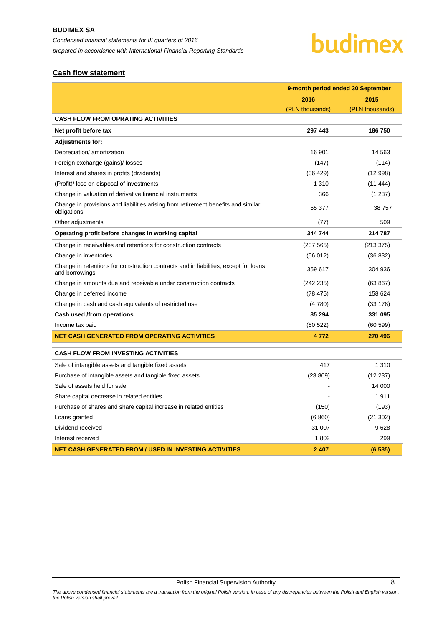# <span id="page-8-0"></span>**Cash flow statement**

|                                                                                                        | 9-month period ended 30 September |                 |  |
|--------------------------------------------------------------------------------------------------------|-----------------------------------|-----------------|--|
|                                                                                                        | 2016                              | 2015            |  |
|                                                                                                        | (PLN thousands)                   | (PLN thousands) |  |
| <b>CASH FLOW FROM OPRATING ACTIVITIES</b>                                                              |                                   |                 |  |
| Net profit before tax                                                                                  | 297 443                           | 186750          |  |
| <b>Adjustments for:</b>                                                                                |                                   |                 |  |
| Depreciation/ amortization                                                                             | 16 901                            | 14 5 63         |  |
| Foreign exchange (gains)/ losses                                                                       | (147)                             | (114)           |  |
| Interest and shares in profits (dividends)                                                             | (36 429)                          | (12998)         |  |
| (Profit)/ loss on disposal of investments                                                              | 1 3 1 0                           | (11444)         |  |
| Change in valuation of derivative financial instruments                                                | 366                               | (1 237)         |  |
| Change in provisions and liabilities arising from retirement benefits and similar<br>obligations       | 65 377                            | 38757           |  |
| Other adjustments                                                                                      | (77)                              | 509             |  |
| Operating profit before changes in working capital                                                     | 344 744                           | 214 787         |  |
| Change in receivables and retentions for construction contracts                                        | (237 565)                         | (213 375)       |  |
| Change in inventories                                                                                  | (56012)                           | (36 832)        |  |
| Change in retentions for construction contracts and in liabilities, except for loans<br>and borrowings | 359 617                           | 304 936         |  |
| Change in amounts due and receivable under construction contracts                                      | (242 235)                         | (63 867)        |  |
| Change in deferred income                                                                              | (78475)                           | 158 624         |  |
| Change in cash and cash equivalents of restricted use                                                  | (4780)                            | (33 178)        |  |
| Cash used /from operations                                                                             | 85 294                            | 331 095         |  |
| Income tax paid                                                                                        | (80522)                           | (60 599)        |  |
| <b>NET CASH GENERATED FROM OPERATING ACTIVITIES</b>                                                    | 4772                              | 270 496         |  |
| <b>CASH FLOW FROM INVESTING ACTIVITIES</b>                                                             |                                   |                 |  |
| Sale of intangible assets and tangible fixed assets                                                    | 417                               | 1 3 1 0         |  |
| Purchase of intangible assets and tangible fixed assets                                                | (23 809)                          | (12 237)        |  |
| Sale of assets held for sale                                                                           |                                   | 14 000          |  |
| Share capital decrease in related entities                                                             |                                   | 1911            |  |
| Purchase of shares and share capital increase in related entities                                      | (150)                             | (193)           |  |
| Loans granted                                                                                          | (6 860)                           | (21302)         |  |
| Dividend received                                                                                      | 31 007                            | 9628            |  |
| Interest received                                                                                      | 1802                              | 299             |  |
| <b>NET CASH GENERATED FROM / USED IN INVESTING ACTIVITIES</b>                                          | 2 407                             | (6585)          |  |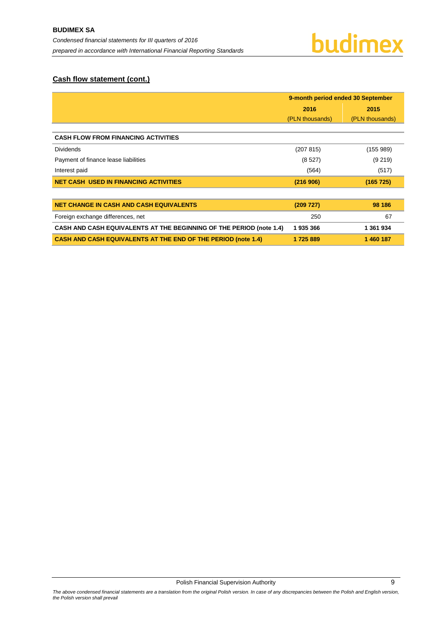# **Cash flow statement (cont.)**

|                                                                            | 9-month period ended 30 September |                 |  |  |
|----------------------------------------------------------------------------|-----------------------------------|-----------------|--|--|
|                                                                            | 2016                              | 2015            |  |  |
|                                                                            | (PLN thousands)                   | (PLN thousands) |  |  |
|                                                                            |                                   |                 |  |  |
| <b>CASH FLOW FROM FINANCING ACTIVITIES</b>                                 |                                   |                 |  |  |
| <b>Dividends</b>                                                           | (207 815)                         | (155989)        |  |  |
| Payment of finance lease liabilities                                       | (8527)                            | (9 219)         |  |  |
| Interest paid                                                              | (564)                             | (517)           |  |  |
| <b>NET CASH USED IN FINANCING ACTIVITIES</b>                               | (216906)                          | (165 725)       |  |  |
|                                                                            |                                   |                 |  |  |
| <b>NET CHANGE IN CASH AND CASH EQUIVALENTS</b>                             | (209 727)                         | 98 186          |  |  |
| Foreign exchange differences, net                                          | 250                               | 67              |  |  |
| <b>CASH AND CASH EQUIVALENTS AT THE BEGINNING OF THE PERIOD (note 1.4)</b> | 1935366                           | 1 361 934       |  |  |
| <b>CASH AND CASH EQUIVALENTS AT THE END OF THE PERIOD (note 1.4)</b>       | 1725889                           | 1 460 187       |  |  |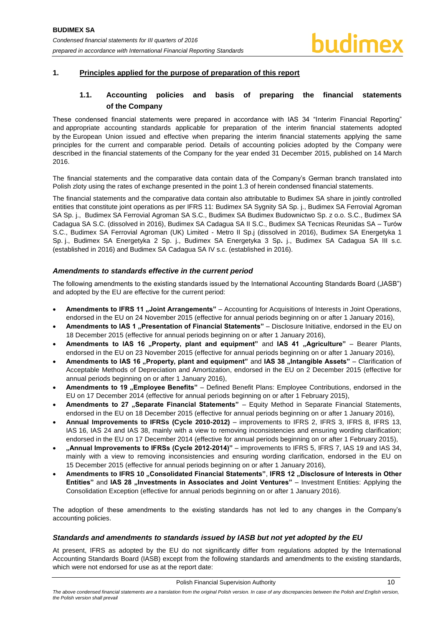# <span id="page-10-1"></span><span id="page-10-0"></span>**1. Principles applied for the purpose of preparation of this report**

# **1.1. Accounting policies and basis of preparing the financial statements of the Company**

These condensed financial statements were prepared in accordance with IAS 34 "Interim Financial Reporting" and appropriate accounting standards applicable for preparation of the interim financial statements adopted by the European Union issued and effective when preparing the interim financial statements applying the same principles for the current and comparable period. Details of accounting policies adopted by the Company were described in the financial statements of the Company for the year ended 31 December 2015, published on 14 March 2016.

The financial statements and the comparative data contain data of the Company's German branch translated into Polish zloty using the rates of exchange presented in the point 1.3 of herein condensed financial statements.

The financial statements and the comparative data contain also attributable to Budimex SA share in jointly controlled entities that constitute joint operations as per IFRS 11: Budimex SA Sygnity SA Sp. j., Budimex SA Ferrovial Agroman SA Sp. j., Budimex SA Ferrovial Agroman SA S.C., Budimex SA Budimex Budownictwo Sp. z o.o. S.C., Budimex SA Cadagua SA S.C. (dissolved in 2016), Budimex SA Cadagua SA II S.C., Budimex SA Tecnicas Reunidas SA – Turów S.C., Budimex SA Ferrovial Agroman (UK) Limited - Metro II Sp.j (dissolved in 2016), Budimex SA Energetyka 1 Sp. j., Budimex SA Energetyka 2 Sp. j., Budimex SA Energetyka 3 Sp**.** j., Budimex SA Cadagua SA III s.c. (established in 2016) and Budimex SA Cadagua SA IV s.c. (established in 2016).

# *Amendments to standards effective in the current period*

The following amendments to the existing standards issued by the International Accounting Standards Board ("IASB") and adopted by the EU are effective for the current period:

- **Amendments to IFRS 11 "Joint Arrangements"** Accounting for Acquisitions of Interests in Joint Operations, endorsed in the EU on 24 November 2015 (effective for annual periods beginning on or after 1 January 2016),
- Amendments to IAS 1 "Presentation of Financial Statements" Disclosure Initiative, endorsed in the EU on 18 December 2015 (effective for annual periods beginning on or after 1 January 2016),
- **Amendments to IAS 16 "Property, plant and equipment" and IAS 41 "Agriculture" Bearer Plants,** endorsed in the EU on 23 November 2015 (effective for annual periods beginning on or after 1 January 2016),
- Amendments to IAS 16 "Property, plant and equipment" and IAS 38 "Intangible Assets" Clarification of Acceptable Methods of Depreciation and Amortization, endorsed in the EU on 2 December 2015 (effective for annual periods beginning on or after 1 January 2016),
- Amendments to 19 "Employee Benefits" Defined Benefit Plans: Employee Contributions, endorsed in the EU on 17 December 2014 (effective for annual periods beginning on or after 1 February 2015),
- Amendments to 27 "Separate Financial Statements" Equity Method in Separate Financial Statements, endorsed in the EU on 18 December 2015 (effective for annual periods beginning on or after 1 January 2016),
- **Annual Improvements to IFRSs (Cycle 2010-2012)** improvements to IFRS 2, IFRS 3, IFRS 8, IFRS 13, IAS 16, IAS 24 and IAS 38, mainly with a view to removing inconsistencies and ensuring wording clarification; endorsed in the EU on 17 December 2014 (effective for annual periods beginning on or after 1 February 2015),
- **"Annual Improvements to IFRSs (Cycle 2012-2014)"** improvements to IFRS 5, IFRS 7, IAS 19 and IAS 34, mainly with a view to removing inconsistencies and ensuring wording clarification, endorsed in the EU on 15 December 2015 (effective for annual periods beginning on or after 1 January 2016),
- Amendments to IFRS 10 "Consolidated Financial Statements", IFRS 12 "Disclosure of Interests in Other **Entities"** and IAS 28 "Investments in Associates and Joint Ventures" – Investment Entities: Applying the Consolidation Exception (effective for annual periods beginning on or after 1 January 2016).

The adoption of these amendments to the existing standards has not led to any changes in the Company's accounting policies.

# *Standards and amendments to standards issued by IASB but not yet adopted by the EU*

At present, IFRS as adopted by the EU do not significantly differ from regulations adopted by the International Accounting Standards Board (IASB) except from the following standards and amendments to the existing standards, which were not endorsed for use as at the report date: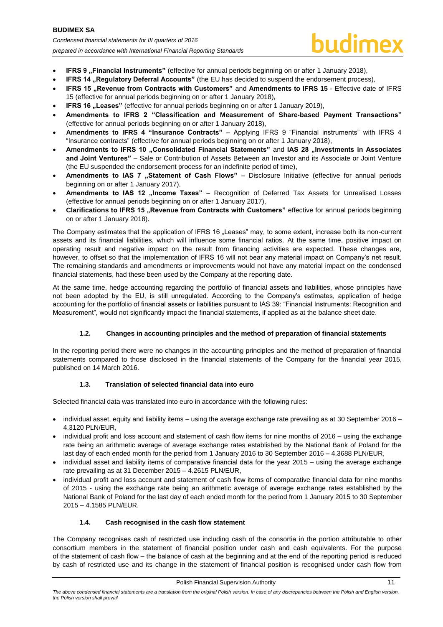- **IFRS 9** "Financial Instruments" (effective for annual periods beginning on or after 1 January 2018),
- **IFRS 14 .. Requiatory Deferral Accounts"** (the EU has decided to suspend the endorsement process),
- **IFRS 15 "Revenue from Contracts with Customers"** and **Amendments to IFRS 15** Effective date of IFRS 15 (effective for annual periods beginning on or after 1 January 2018),
- **IFRS 16 . Leases"** (effective for annual periods beginning on or after 1 January 2019),
- **Amendments to IFRS 2 "Classification and Measurement of Share-based Payment Transactions"** (effective for annual periods beginning on or after 1 January 2018),
- **Amendments to IFRS 4 "Insurance Contracts"**  Applying IFRS 9 "Financial instruments" with IFRS 4 "Insurance contracts" (effective for annual periods beginning on or after 1 January 2018),
- Amendments to IFRS 10 "Consolidated Financial Statements" and IAS 28 "Investments in Associates **and Joint Ventures"** – Sale or Contribution of Assets Between an Investor and its Associate or Joint Venture (the EU suspended the endorsement process for an indefinite period of time),
- Amendments to IAS 7 "Statement of Cash Flows" Disclosure Initiative (effective for annual periods beginning on or after 1 January 2017),
- Amendments to IAS 12 "Income Taxes" Recognition of Deferred Tax Assets for Unrealised Losses (effective for annual periods beginning on or after 1 January 2017),
- **Clarifications to IFRS 15 "Revenue from Contracts with Customers"** effective for annual periods beginning on or after 1 January 2018).

The Company estimates that the application of IFRS 16 . Leases" may, to some extent, increase both its non-current assets and its financial liabilities, which will influence some financial ratios. At the same time, positive impact on operating result and negative impact on the result from financing activities are expected. These changes are, however, to offset so that the implementation of IFRS 16 will not bear any material impact on Company's net result. The remaining standards and amendments or improvements would not have any material impact on the condensed financial statements, had these been used by the Company at the reporting date.

At the same time, hedge accounting regarding the portfolio of financial assets and liabilities, whose principles have not been adopted by the EU, is still unregulated. According to the Company's estimates, application of hedge accounting for the portfolio of financial assets or liabilities pursuant to IAS 39: "Financial Instruments: Recognition and Measurement", would not significantly impact the financial statements, if applied as at the balance sheet date.

# **1.2. Changes in accounting principles and the method of preparation of financial statements**

<span id="page-11-0"></span>In the reporting period there were no changes in the accounting principles and the method of preparation of financial statements compared to those disclosed in the financial statements of the Company for the financial year 2015, published on 14 March 2016.

# **1.3. Translation of selected financial data into euro**

<span id="page-11-1"></span>Selected financial data was translated into euro in accordance with the following rules:

- individual asset, equity and liability items using the average exchange rate prevailing as at 30 September 2016 4.3120 PLN/EUR,
- individual profit and loss account and statement of cash flow items for nine months of 2016 using the exchange rate being an arithmetic average of average exchange rates established by the National Bank of Poland for the last day of each ended month for the period from 1 January 2016 to 30 September 2016 – 4.3688 PLN/EUR,
- individual asset and liability items of comparative financial data for the year 2015 using the average exchange rate prevailing as at 31 December 2015 – 4.2615 PLN/EUR,
- individual profit and loss account and statement of cash flow items of comparative financial data for nine months of 2015 - using the exchange rate being an arithmetic average of average exchange rates established by the National Bank of Poland for the last day of each ended month for the period from 1 January 2015 to 30 September 2015 – 4.1585 PLN/EUR.

# **1.4. Cash recognised in the cash flow statement**

<span id="page-11-2"></span>The Company recognises cash of restricted use including cash of the consortia in the portion attributable to other consortium members in the statement of financial position under cash and cash equivalents. For the purpose of the statement of cash flow – the balance of cash at the beginning and at the end of the reporting period is reduced by cash of restricted use and its change in the statement of financial position is recognised under cash flow from

The above condensed financial statements are a translation from the original Polish version. In case of any discrepancies between the Polish and English version, *the Polish version shall prevail*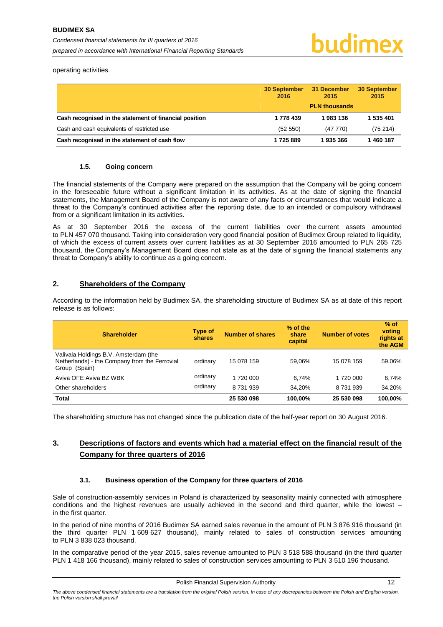operating activities.

|                                                        | <b>30 September</b><br>2016 | 31 December<br>2015  | <b>30 September</b><br>2015 |
|--------------------------------------------------------|-----------------------------|----------------------|-----------------------------|
|                                                        |                             | <b>PLN thousands</b> |                             |
| Cash recognised in the statement of financial position | 1 778 439                   | 1983136              | 1 535 401                   |
| Cash and cash equivalents of restricted use            | (52 550)                    | (47770)              | (75214)                     |
| Cash recognised in the statement of cash flow          | 1725889                     | 1935366              | 1460187                     |

#### **1.5. Going concern**

<span id="page-12-0"></span>The financial statements of the Company were prepared on the assumption that the Company will be going concern in the foreseeable future without a significant limitation in its activities. As at the date of signing the financial statements, the Management Board of the Company is not aware of any facts or circumstances that would indicate a threat to the Company's continued activities after the reporting date, due to an intended or compulsory withdrawal from or a significant limitation in its activities.

As at 30 September 2016 the excess of the current liabilities over the current assets amounted to PLN 457 070 thousand. Taking into consideration very good financial position of Budimex Group related to liquidity, of which the excess of current assets over current liabilities as at 30 September 2016 amounted to PLN 265 725 thousand, the Company's Management Board does not state as at the date of signing the financial statements any threat to Company's ability to continue as a going concern.

# <span id="page-12-1"></span>**2. Shareholders of the Company**

According to the information held by Budimex SA, the shareholding structure of Budimex SA as at date of this report release is as follows:

| <b>Shareholder</b>                                                                                      | <b>Type of</b><br>shares | <b>Number of shares</b> | % of the<br>share<br>capital | <b>Number of votes</b> | $%$ of<br>voting<br>rights at<br>the AGM |
|---------------------------------------------------------------------------------------------------------|--------------------------|-------------------------|------------------------------|------------------------|------------------------------------------|
| Valivala Holdings B.V. Amsterdam (the<br>Netherlands) - the Company from the Ferrovial<br>Group (Spain) | ordinary                 | 15 078 159              | 59.06%                       | 15 078 159             | 59,06%                                   |
| Aviva OFE Aviva BZ WBK                                                                                  | ordinary                 | 1 720 000               | 6.74%                        | 1 720 000              | 6,74%                                    |
| Other shareholders                                                                                      | ordinary                 | 8 731 939               | 34.20%                       | 8 7 31 9 39            | 34.20%                                   |
| <b>Total</b>                                                                                            |                          | 25 530 098              | 100.00%                      | 25 530 098             | 100.00%                                  |

The shareholding structure has not changed since the publication date of the half-year report on 30 August 2016.

# <span id="page-12-2"></span>**3. Descriptions of factors and events which had a material effect on the financial result of the Company for three quarters of 2016**

# **3.1. Business operation of the Company for three quarters of 2016**

<span id="page-12-3"></span>Sale of construction-assembly services in Poland is characterized by seasonality mainly connected with atmosphere conditions and the highest revenues are usually achieved in the second and third quarter, while the lowest – in the first quarter.

In the period of nine months of 2016 Budimex SA earned sales revenue in the amount of PLN 3 876 916 thousand (in the third quarter PLN 1 609 627 thousand), mainly related to sales of construction services amounting to PLN 3 838 023 thousand.

In the comparative period of the year 2015, sales revenue amounted to PLN 3 518 588 thousand (in the third quarter PLN 1 418 166 thousand), mainly related to sales of construction services amounting to PLN 3 510 196 thousand.

*The above condensed financial statements are a translation from the original Polish version. In case of any discrepancies between the Polish and English version, the Polish version shall prevail*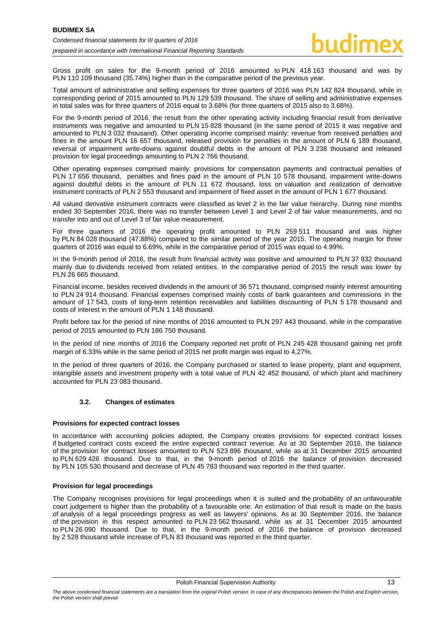Gross profit on sales for the 9-month period of 2016 amounted to PLN 418 163 thousand and was by PLN 110 109 thousand (35.74%) higher than in the comparative period of the previous year.

Total amount of administrative and selling expenses for three quarters of 2016 was PLN 142 824 thousand, while in corresponding period of 2015 amounted to PLN 129 539 thousand. The share of selling and administrative expenses in total sales was for three quarters of 2016 equal to 3.68% (for three quarters of 2015 also to 3.68%).

For the 9-month period of 2016, the result from the other operating activity including financial result from derivative instruments was negative and amounted to PLN 15 828 thousand (in the same period of 2015 it was negative and amounted to PLN 3 032 thousand). Other operating income comprised mainly: revenue from received penalties and fines in the amount PLN 16 657 thousand, released provision for penalties in the amount of PLN 6 189 thousand, reversal of impairment write-downs against doubtful debts in the amount of PLN 3 238 thousand and released provision for legal proceedings amounting to PLN 2 766 thousand.

Other operating expenses comprised mainly: provisions for compensation payments and contractual penalties of PLN 17 656 thousand, penalties and fines paid in the amount of PLN 10 578 thousand, impairment write-downs against doubtful debts in the amount of PLN 11 672 thousand, loss on valuation and realization of derivative instrument contracts of PLN 2 553 thousand and impairment of fixed asset in the amount of PLN 1 677 thousand.

All valued derivative instrument contracts were classified as level 2 in the fair value hierarchy. During nine months ended 30 September 2016, there was no transfer between Level 1 and Level 2 of fair value measurements, and no transfer into and out of Level 3 of fair value measurement.

For three quarters of 2016 the operating profit amounted to PLN 259 511 thousand and was higher by PLN 84 028 thousand (47.88%) compared to the similar period of the year 2015. The operating margin for three quarters of 2016 was equal to 6.69%, while in the comparative period of 2015 was equal to 4.99%.

In the 9-month period of 2016, the result from financial activity was positive and amounted to PLN 37 932 thousand mainly due to dividends received from related entities. In the comparative period of 2015 the result was lower by PLN 26 665 thousand.

Financial income, besides received dividends in the amount of 36 571 thousand, comprised mainly interest amounting to PLN 24 914 thousand. Financial expenses comprised mainly costs of bank guarantees and commissions in the amount of 17 543, costs of long-term retention receivables and liabilities discounting of PLN 5 178 thousand and costs of interest in the amount of PLN 1 148 thousand.

Profit before tax for the period of nine months of 2016 amounted to PLN 297 443 thousand, while in the comparative period of 2015 amounted to PLN 186 750 thousand.

In the period of nine months of 2016 the Company reported net profit of PLN 245 428 thousand gaining net profit margin of 6.33% while in the same period of 2015 net profit margin was equal to 4,27%.

In the period of three quarters of 2016, the Company purchased or started to lease property, plant and equipment, intangible assets and investment property with a total value of PLN 42 452 thousand, of which plant and machinery accounted for PLN 23 083 thousand.

# **3.2. Changes of estimates**

#### <span id="page-13-0"></span>**Provisions for expected contract losses**

In accordance with accounting policies adopted, the Company creates provisions for expected contract losses if budgeted contract costs exceed the entire expected contract revenue. As at 30 September 2016, the balance of the provision for contract losses amounted to PLN 523 896 thousand, while as at 31 December 2015 amounted to PLN 629 426 thousand. Due to that, in the 9-month period of 2016 the balance of provision decreased by PLN 105 530 thousand and decrease of PLN 45 783 thousand was reported in the third quarter.

# **Provision for legal proceedings**

The Company recognises provisions for legal proceedings when it is suited and the probability of an unfavourable court judgement is higher than the probability of a favourable one. An estimation of that result is made on the basis of analysis of a legal proceedings progress as well as lawyers' opinions. As at 30 September 2016, the balance of the provision in this respect amounted to PLN 23 562 thousand, while as at 31 December 2015 amounted to PLN 26 090 thousand. Due to that, in the 9-month period of 2016 the balance of provision decreased by 2 528 thousand while increase of PLN 83 thousand was reported in the third quarter.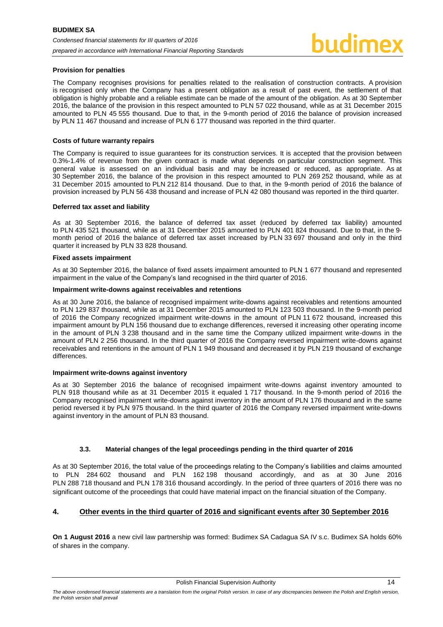#### **Provision for penalties**

The Company recognises provisions for penalties related to the realisation of construction contracts. A provision is recognised only when the Company has a present obligation as a result of past event, the settlement of that obligation is highly probable and a reliable estimate can be made of the amount of the obligation. As at 30 September 2016, the balance of the provision in this respect amounted to PLN 57 022 thousand, while as at 31 December 2015 amounted to PLN 45 555 thousand. Due to that, in the 9-month period of 2016 the balance of provision increased by PLN 11 467 thousand and increase of PLN 6 177 thousand was reported in the third quarter.

#### **Costs of future warranty repairs**

The Company is required to issue guarantees for its construction services. It is accepted that the provision between 0.3%-1.4% of revenue from the given contract is made what depends on particular construction segment. This general value is assessed on an individual basis and may be increased or reduced, as appropriate. As at 30 September 2016, the balance of the provision in this respect amounted to PLN 269 252 thousand, while as at 31 December 2015 amounted to PLN 212 814 thousand. Due to that, in the 9-month period of 2016 the balance of provision increased by PLN 56 438 thousand and increase of PLN 42 080 thousand was reported in the third quarter.

#### **Deferred tax asset and liability**

As at 30 September 2016, the balance of deferred tax asset (reduced by deferred tax liability) amounted to PLN 435 521 thousand, while as at 31 December 2015 amounted to PLN 401 824 thousand. Due to that, in the 9 month period of 2016 the balance of deferred tax asset increased by PLN 33 697 thousand and only in the third quarter it increased by PLN 33 828 thousand.

#### **Fixed assets impairment**

As at 30 September 2016, the balance of fixed assets impairment amounted to PLN 1 677 thousand and represented impairment in the value of the Company's land recognised in the third quarter of 2016.

#### **Impairment write-downs against receivables and retentions**

As at 30 June 2016, the balance of recognised impairment write-downs against receivables and retentions amounted to PLN 129 837 thousand, while as at 31 December 2015 amounted to PLN 123 503 thousand. In the 9-month period of 2016 the Company recognized impairment write-downs in the amount of PLN 11 672 thousand, increased this impairment amount by PLN 156 thousand due to exchange differences, reversed it increasing other operating income in the amount of PLN 3 238 thousand and in the same time the Company utilized impairment write-downs in the amount of PLN 2 256 thousand. In the third quarter of 2016 the Company reversed impairment write-downs against receivables and retentions in the amount of PLN 1 949 thousand and decreased it by PLN 219 thousand of exchange differences.

#### **Impairment write-downs against inventory**

As at 30 September 2016 the balance of recognised impairment write-downs against inventory amounted to PLN 918 thousand while as at 31 December 2015 it equaled 1 717 thousand. In the 9-month period of 2016 the Company recognised impairment write-downs against inventory in the amount of PLN 176 thousand and in the same period reversed it by PLN 975 thousand. In the third quarter of 2016 the Company reversed impairment write-downs against inventory in the amount of PLN 83 thousand.

# **3.3. Material changes of the legal proceedings pending in the third quarter of 2016**

<span id="page-14-0"></span>As at 30 September 2016, the total value of the proceedings relating to the Company's liabilities and claims amounted to PLN 284 602 thousand and PLN 162 198 thousand accordingly, and as at 30 June 2016 PLN 288 718 thousand and PLN 178 316 thousand accordingly. In the period of three quarters of 2016 there was no significant outcome of the proceedings that could have material impact on the financial situation of the Company.

# <span id="page-14-1"></span>**4. Other events in the third quarter of 2016 and significant events after 30 September 2016**

**On 1 August 2016** a new civil law partnership was formed: Budimex SA Cadagua SA IV s.c. Budimex SA holds 60% of shares in the company.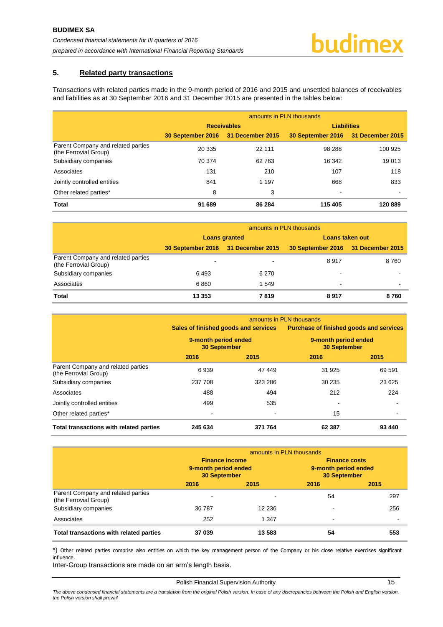# <span id="page-15-0"></span>**5. Related party transactions**

Transactions with related parties made in the 9-month period of 2016 and 2015 and unsettled balances of receivables and liabilities as at 30 September 2016 and 31 December 2015 are presented in the tables below:

|                                                             | amounts in PLN thousands           |                    |                                    |         |  |  |  |
|-------------------------------------------------------------|------------------------------------|--------------------|------------------------------------|---------|--|--|--|
|                                                             |                                    | <b>Receivables</b> | <b>Liabilities</b>                 |         |  |  |  |
|                                                             | 30 September 2016 31 December 2015 |                    | 30 September 2016 31 December 2015 |         |  |  |  |
| Parent Company and related parties<br>(the Ferrovial Group) | 20 335                             | 22 111             | 98 288                             | 100 925 |  |  |  |
| Subsidiary companies                                        | 70 374                             | 62763              | 16 342                             | 19013   |  |  |  |
| Associates                                                  | 131                                | 210                | 107                                | 118     |  |  |  |
| Jointly controlled entities                                 | 841                                | 1 1 9 7            | 668                                | 833     |  |  |  |
| Other related parties*                                      | 8                                  | 3                  | -                                  |         |  |  |  |
| <b>Total</b>                                                | 91 689                             | 86 284             | 115 405                            | 120 889 |  |  |  |

|                                                             | amounts in PLN thousands           |         |                                    |                          |
|-------------------------------------------------------------|------------------------------------|---------|------------------------------------|--------------------------|
|                                                             | <b>Loans granted</b>               |         | Loans taken out                    |                          |
|                                                             | 30 September 2016 31 December 2015 |         | 30 September 2016 31 December 2015 |                          |
| Parent Company and related parties<br>(the Ferrovial Group) | ٠                                  |         | 8917                               | 8760                     |
| Subsidiary companies                                        | 6493                               | 6 2 7 0 | -                                  |                          |
| Associates                                                  | 6860                               | 1 549   | $\,$                               | $\overline{\phantom{0}}$ |
| Total                                                       | 13 3 5 3                           | 7819    | 8917                               | 8760                     |

|                                                             | amounts in PLN thousands                    |         |                                                |        |
|-------------------------------------------------------------|---------------------------------------------|---------|------------------------------------------------|--------|
|                                                             | Sales of finished goods and services        |         | <b>Purchase of finished goods and services</b> |        |
|                                                             | 9-month period ended<br><b>30 September</b> |         | 9-month period ended<br><b>30 September</b>    |        |
|                                                             | 2016                                        | 2015    | 2016                                           | 2015   |
| Parent Company and related parties<br>(the Ferrovial Group) | 6939                                        | 47 449  | 31 925                                         | 69 591 |
| Subsidiary companies                                        | 237 708                                     | 323 286 | 30 235                                         | 23 625 |
| Associates                                                  | 488                                         | 494     | 212                                            | 224    |
| Jointly controlled entities                                 | 499                                         | 535     | $\overline{\phantom{a}}$                       |        |
| Other related parties*                                      |                                             |         | 15                                             |        |
| Total transactions with related parties                     | 245 634                                     | 371 764 | 62 387                                         | 93 440 |

|                                                             | amounts in PLN thousands                                             |         |                                                                     |      |
|-------------------------------------------------------------|----------------------------------------------------------------------|---------|---------------------------------------------------------------------|------|
|                                                             | <b>Finance income</b><br>9-month period ended<br><b>30 September</b> |         | <b>Finance costs</b><br>9-month period ended<br><b>30 September</b> |      |
|                                                             | 2016                                                                 | 2015    | 2016                                                                | 2015 |
| Parent Company and related parties<br>(the Ferrovial Group) |                                                                      |         | 54                                                                  | 297  |
| Subsidiary companies                                        | 36 787                                                               | 12 236  |                                                                     | 256  |
| Associates                                                  | 252                                                                  | 1 3 4 7 | $\overline{\phantom{0}}$                                            |      |
| Total transactions with related parties                     | 37039                                                                | 13 583  | 54                                                                  | 553  |

\*) Other related parties comprise also entities on which the key management person of the Company or his close relative exercises significant influence.

Inter-Group transactions are made on an arm's length basis.

#### Polish Financial Supervision Authority 15

The above condensed financial statements are a translation from the original Polish version. In case of any discrepancies between the Polish and English version, *the Polish version shall prevail*